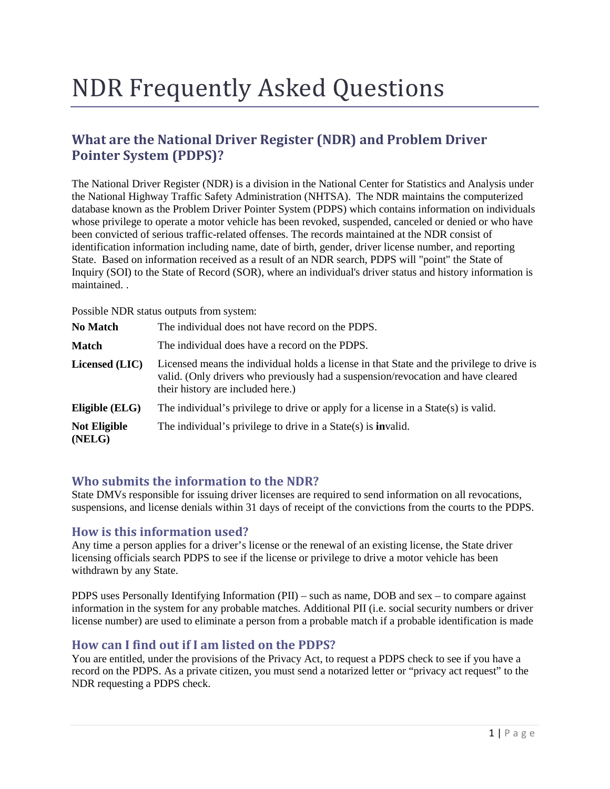# NDR Frequently Asked Questions

# **What are the National Driver Register (NDR) and Problem Driver Pointer System (PDPS)?**

The National Driver Register (NDR) is a division in the National Center for Statistics and Analysis under the National Highway Traffic Safety Administration (NHTSA). The NDR maintains the computerized database known as the Problem Driver Pointer System (PDPS) which contains information on individuals whose privilege to operate a motor vehicle has been revoked, suspended, canceled or denied or who have been convicted of serious traffic-related offenses. The records maintained at the NDR consist of identification information including name, date of birth, gender, driver license number, and reporting State. Based on information received as a result of an NDR search, PDPS will "point" the State of Inquiry (SOI) to the State of Record (SOR), where an individual's driver status and history information is maintained. .

Possible NDR status outputs from system:

| <b>No Match</b>               | The individual does not have record on the PDPS.                                                                                                                                                                   |
|-------------------------------|--------------------------------------------------------------------------------------------------------------------------------------------------------------------------------------------------------------------|
| <b>Match</b>                  | The individual does have a record on the PDPS.                                                                                                                                                                     |
| Licensed (LIC)                | Licensed means the individual holds a license in that State and the privilege to drive is<br>valid. (Only drivers who previously had a suspension/revocation and have cleared<br>their history are included here.) |
| Eligible (ELG)                | The individual's privilege to drive or apply for a license in a State(s) is valid.                                                                                                                                 |
| <b>Not Eligible</b><br>(NELG) | The individual's privilege to drive in a $State(s)$ is <b>invalid.</b>                                                                                                                                             |

# **Who submits the information to the NDR?**

State DMVs responsible for issuing driver licenses are required to send information on all revocations, suspensions, and license denials within 31 days of receipt of the convictions from the courts to the PDPS.

# **How is this information used?**

Any time a person applies for a driver's license or the renewal of an existing license, the State driver licensing officials search PDPS to see if the license or privilege to drive a motor vehicle has been withdrawn by any State.

PDPS uses Personally Identifying Information (PII) – such as name, DOB and sex – to compare against information in the system for any probable matches. Additional PII (i.e. social security numbers or driver license number) are used to eliminate a person from a probable match if a probable identification is made

# **How can I find out if I am listed on the PDPS?**

You are entitled, under the provisions of the Privacy Act, to request a PDPS check to see if you have a record on the PDPS. As a private citizen, you must send a notarized letter or "privacy act request" to the NDR requesting a PDPS check.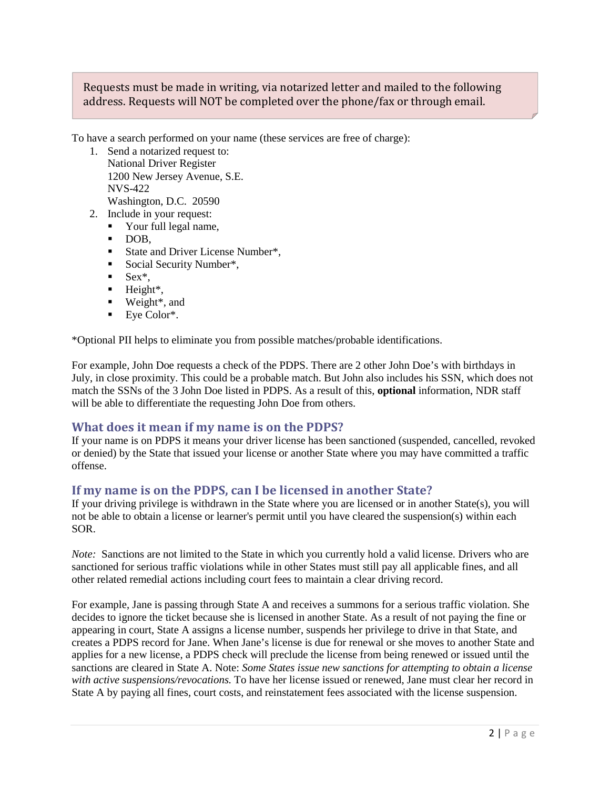# Requests must be made in writing, via notarized letter and mailed to the following address. Requests will NOT be completed over the phone/fax or through email.

To have a search performed on your name (these services are free of charge):

- 1. Send a notarized request to: National Driver Register 1200 New Jersey Avenue, S.E. NVS-422 Washington, D.C. 20590
- 2. Include in your request:
	- Your full legal name,
	- DOB,
	- State and Driver License Number\*,
	- Social Security Number\*,
	- $Sex^*$ ,
	- $\blacksquare$  Height\*,
	- Weight<sup>\*</sup>, and
	- Eye Color<sup>\*</sup>.

\*Optional PII helps to eliminate you from possible matches/probable identifications.

For example, John Doe requests a check of the PDPS. There are 2 other John Doe's with birthdays in July, in close proximity. This could be a probable match. But John also includes his SSN, which does not match the SSNs of the 3 John Doe listed in PDPS. As a result of this, **optional** information, NDR staff will be able to differentiate the requesting John Doe from others.

# **What does it mean if my name is on the PDPS?**

If your name is on PDPS it means your driver license has been sanctioned (suspended, cancelled, revoked or denied) by the State that issued your license or another State where you may have committed a traffic offense.

#### **If my name is on the PDPS, can I be licensed in another State?**

If your driving privilege is withdrawn in the State where you are licensed or in another State(s), you will not be able to obtain a license or learner's permit until you have cleared the suspension(s) within each SOR.

*Note:* Sanctions are not limited to the State in which you currently hold a valid license. Drivers who are sanctioned for serious traffic violations while in other States must still pay all applicable fines, and all other related remedial actions including court fees to maintain a clear driving record.

For example, Jane is passing through State A and receives a summons for a serious traffic violation. She decides to ignore the ticket because she is licensed in another State. As a result of not paying the fine or appearing in court, State A assigns a license number, suspends her privilege to drive in that State, and creates a PDPS record for Jane. When Jane's license is due for renewal or she moves to another State and applies for a new license, a PDPS check will preclude the license from being renewed or issued until the sanctions are cleared in State A. Note: *Some States issue new sanctions for attempting to obtain a license with active suspensions/revocations.* To have her license issued or renewed, Jane must clear her record in State A by paying all fines, court costs, and reinstatement fees associated with the license suspension.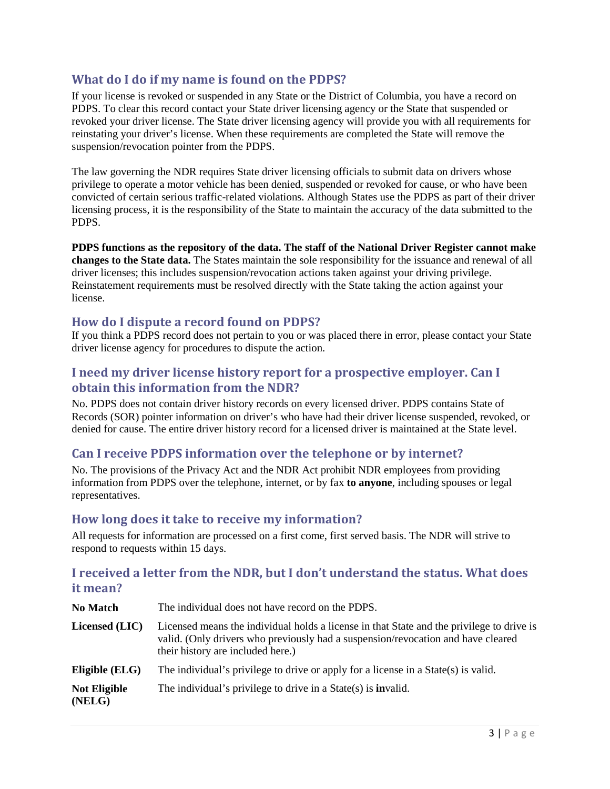# **What do I do if my name is found on the PDPS?**

If your license is revoked or suspended in any State or the District of Columbia, you have a record on PDPS. To clear this record contact your State driver licensing agency or the State that suspended or revoked your driver license. The State driver licensing agency will provide you with all requirements for reinstating your driver's license. When these requirements are completed the State will remove the suspension/revocation pointer from the PDPS.

The law governing the NDR requires State driver licensing officials to submit data on drivers whose privilege to operate a motor vehicle has been denied, suspended or revoked for cause, or who have been convicted of certain serious traffic-related violations. Although States use the PDPS as part of their driver licensing process, it is the responsibility of the State to maintain the accuracy of the data submitted to the PDPS.

**PDPS functions as the repository of the data. The staff of the National Driver Register cannot make changes to the State data.** The States maintain the sole responsibility for the issuance and renewal of all driver licenses; this includes suspension/revocation actions taken against your driving privilege. Reinstatement requirements must be resolved directly with the State taking the action against your license.

# **How do I dispute a record found on PDPS?**

If you think a PDPS record does not pertain to you or was placed there in error, please contact your State driver license agency for procedures to dispute the action.

# **I need my driver license history report for a prospective employer. Can I obtain this information from the NDR?**

No. PDPS does not contain driver history records on every licensed driver. PDPS contains State of Records (SOR) pointer information on driver's who have had their driver license suspended, revoked, or denied for cause. The entire driver history record for a licensed driver is maintained at the State level.

# **Can I receive PDPS information over the telephone or by internet?**

No. The provisions of the Privacy Act and the NDR Act prohibit NDR employees from providing information from PDPS over the telephone, internet, or by fax **to anyone**, including spouses or legal representatives.

# **How long does it take to receive my information?**

All requests for information are processed on a first come, first served basis. The NDR will strive to respond to requests within 15 days.

# **I received a letter from the NDR, but I don't understand the status. What does it mean?**

| <b>No Match</b>               | The individual does not have record on the PDPS.                                                                                                                                                                   |
|-------------------------------|--------------------------------------------------------------------------------------------------------------------------------------------------------------------------------------------------------------------|
| Licensed (LIC)                | Licensed means the individual holds a license in that State and the privilege to drive is<br>valid. (Only drivers who previously had a suspension/revocation and have cleared<br>their history are included here.) |
| Eligible (ELG)                | The individual's privilege to drive or apply for a license in a State(s) is valid.                                                                                                                                 |
| <b>Not Eligible</b><br>(NELG) | The individual's privilege to drive in a $State(s)$ is <b>invalid.</b>                                                                                                                                             |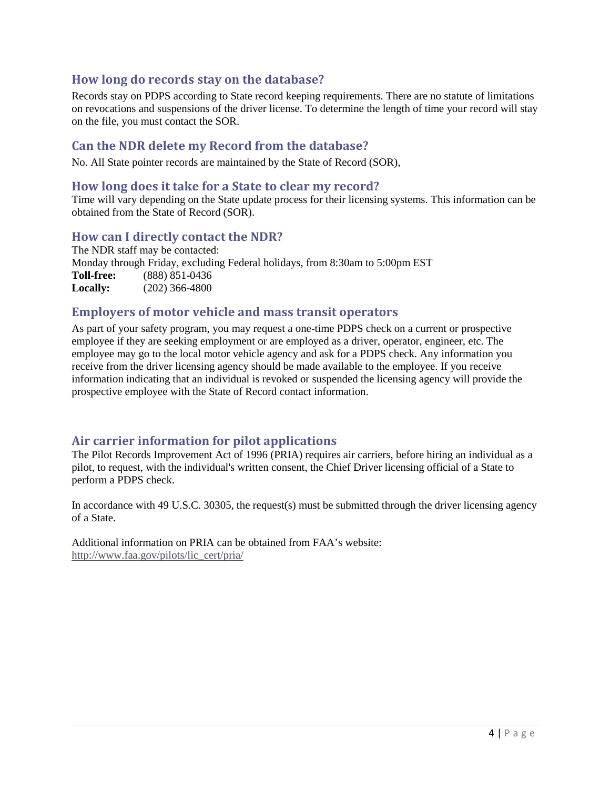# **How long do records stay on the database?**

Records stay on PDPS according to State record keeping requirements. There are no statute of limitations on revocations and suspensions of the driver license. To determine the length of time your record will stay on the file, you must contact the SOR.

## **Can the NDR delete my Record from the database?**

No. All State pointer records are maintained by the State of Record (SOR),

#### **How long does it take for a State to clear my record?**

Time will vary depending on the State update process for their licensing systems. This information can be obtained from the State of Record (SOR).

#### **How can I directly contact the NDR?**

The NDR staff may be contacted: Monday through Friday, excluding Federal holidays, from 8:30am to 5:00pm EST<br>Toll-free: (888) 851-0436 **Toll-free:** (888) 851-0436 **Locally:** (202) 366-4800

#### **Employers of motor vehicle and mass transit operators**

As part of your safety program, you may request a one-time PDPS check on a current or prospective employee if they are seeking employment or are employed as a driver, operator, engineer, etc. The employee may go to the local motor vehicle agency and ask for a PDPS check. Any information you receive from the driver licensing agency should be made available to the employee. If you receive information indicating that an individual is revoked or suspended the licensing agency will provide the prospective employee with the State of Record contact information.

# **Air carrier information for pilot applications**

The Pilot Records Improvement Act of 1996 (PRIA) requires air carriers, before hiring an individual as a pilot, to request, with the individual's written consent, the Chief Driver licensing official of a State to perform a PDPS check.

In accordance with 49 U.S.C. 30305, the request(s) must be submitted through the driver licensing agency of a State.

Additional information on PRIA can be obtained from FAA's website: [http://www.faa.gov/pilots/lic\\_cert/pria/](http://www.faa.gov/pilots/lic_cert/pria/)